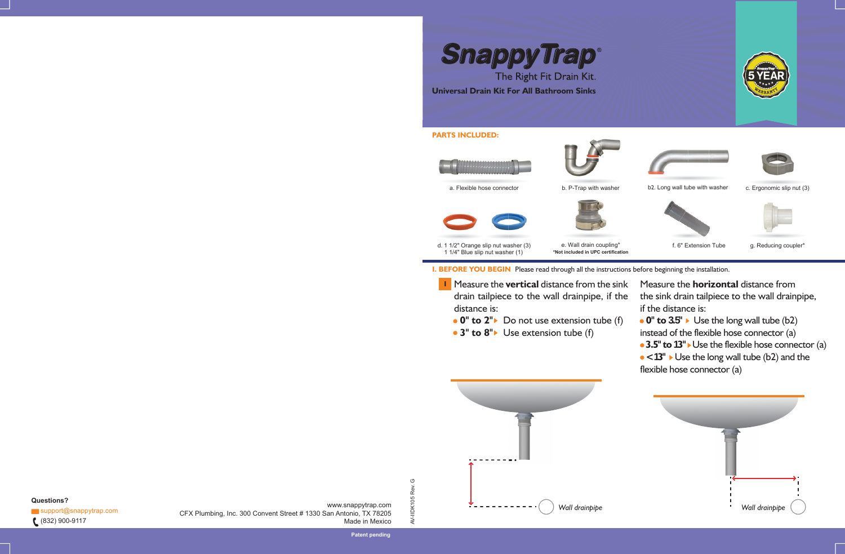**SnappyTrap®** 

# **PARTS INCLUDED:**





d. 1 1/2" Orange slip nut washer (3) 1 1/4" Blue slip nut washer (1)

- **1** Measure the **vertical** distance from the sink drain tailpiece to the wall drainpipe, if the distance is:
- $\bullet$  **0" to 2"** ► Do not use extension tube (f) - **0" to 3.5"** Use the long wall tube (b2) instead of the flexible hose connector (a) - **3.5"to 13"** Use the flexible hose connector (a) - **<13"** Use the long wall tube (b2) and the flexible hose connector (a)
- **3" to 8"** Use extension tube (f)

The Right Fit Drain Kit. **Universal Drain Kit For All Bathroom Sinks**

a. Flexible hose connector



AV-IIDK105 Rev. G

AV-IIDK105 Rev.

 $\mathbb{C}^1$ 

www.snappytrap.com CFX Plumbing, Inc. 300 Convent Street # 1330 San Antonio, TX 78205 Made in Mexico



**Questions?**  $\blacktriangleright$  support@snappytrap.com (832) 900-9117





Measure the **horizontal** distance from the sink drain tailpiece to the wall drainpipe, if the distance is: